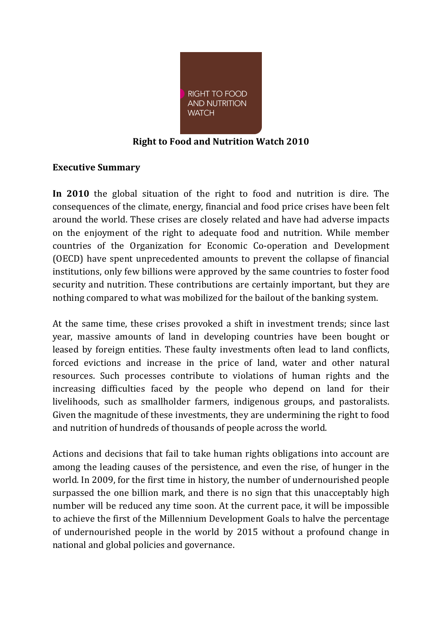

### **Right to Food and Nutrition Watch 2010**

#### **Executive Summary**

**In 2010** the global situation of the right to food and nutrition is dire. The consequences of the climate, energy, financial and food price crises have been felt around the world. These crises are closely related and have had adverse impacts on the enjoyment of the right to adequate food and nutrition. While member countries of the Organization for Economic Co-operation and Development (OECD) have spent unprecedented amounts to prevent the collapse of financial institutions, only few billions were approved by the same countries to foster food security and nutrition. These contributions are certainly important, but they are nothing compared to what was mobilized for the bailout of the banking system.

At the same time, these crises provoked a shift in investment trends; since last year, massive amounts of land in developing countries have been bought or leased by foreign entities. These faulty investments often lead to land conflicts, forced evictions and increase in the price of land, water and other natural resources. Such processes contribute to violations of human rights and the increasing difficulties faced by the people who depend on land for their livelihoods, such as smallholder farmers, indigenous groups, and pastoralists. Given the magnitude of these investments, they are undermining the right to food and nutrition of hundreds of thousands of people across the world.

Actions and decisions that fail to take human rights obligations into account are among the leading causes of the persistence, and even the rise, of hunger in the world. In 2009, for the first time in history, the number of undernourished people surpassed the one billion mark, and there is no sign that this unacceptably high number will be reduced any time soon. At the current pace, it will be impossible to achieve the first of the Millennium Development Goals to halve the percentage of undernourished people in the world by 2015 without a profound change in national and global policies and governance.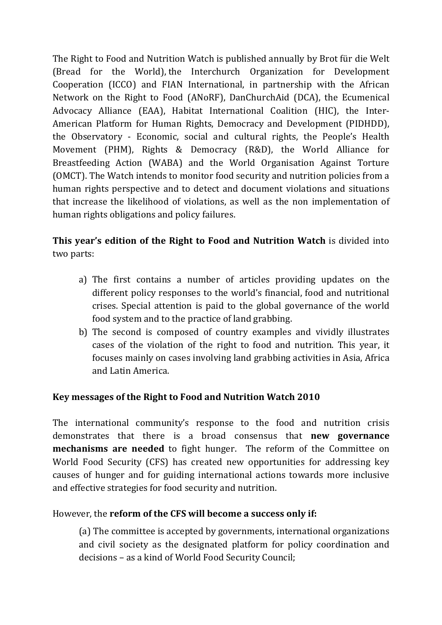The Right to Food and Nutrition Watch is published annually by Brot für die Welt (Bread for the World), the Interchurch Organization for Development Cooperation (ICCO) and FIAN International, in partnership with the African Network on the Right to Food (ANoRF), DanChurchAid (DCA), the Ecumenical Advocacy Alliance (EAA), Habitat International Coalition (HIC), the Inter-American Platform for Human Rights, Democracy and Development (PIDHDD), the Observatory - Economic, social and cultural rights, the People's Health Movement (PHM), Rights & Democracy (R&D), the World Alliance for Breastfeeding Action (WABA) and the World Organisation Against Torture (OMCT). The Watch intends to monitor food security and nutrition policies from a human rights perspective and to detect and document violations and situations that increase the likelihood of violations, as well as the non implementation of human rights obligations and policy failures.

# **This year's edition of the Right to Food and Nutrition Watch** is divided into two parts:

- a) The first contains a number of articles providing updates on the different policy responses to the world's financial, food and nutritional crises. Special attention is paid to the global governance of the world food system and to the practice of land grabbing.
- b) The second is composed of country examples and vividly illustrates cases of the violation of the right to food and nutrition. This year, it focuses mainly on cases involving land grabbing activities in Asia, Africa and Latin America.

## **Key messages of the Right to Food and Nutrition Watch 2010**

The international community's response to the food and nutrition crisis demonstrates that there is a broad consensus that **new governance mechanisms are needed** to fight hunger. The reform of the Committee on World Food Security (CFS) has created new opportunities for addressing key causes of hunger and for guiding international actions towards more inclusive and effective strategies for food security and nutrition.

## However, the **reform of the CFS will become a success only if:**

(a) The committee is accepted by governments, international organizations and civil society as the designated platform for policy coordination and decisions – as a kind of World Food Security Council;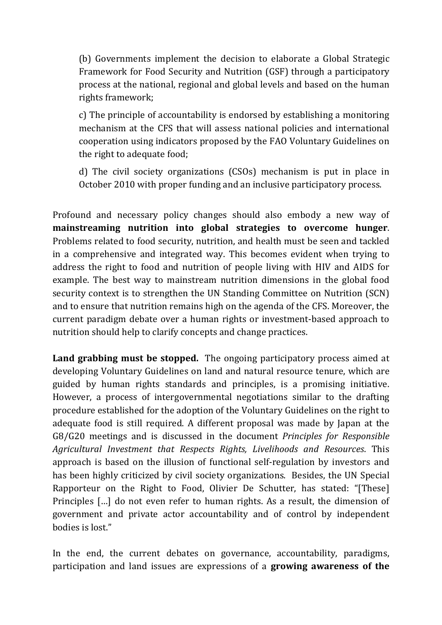(b) Governments implement the decision to elaborate a Global Strategic Framework for Food Security and Nutrition (GSF) through a participatory process at the national, regional and global levels and based on the human rights framework;

c) The principle of accountability is endorsed by establishing a monitoring mechanism at the CFS that will assess national policies and international cooperation using indicators proposed by the FAO Voluntary Guidelines on the right to adequate food;

d) The civil society organizations (CSOs) mechanism is put in place in October 2010 with proper funding and an inclusive participatory process.

Profound and necessary policy changes should also embody a new way of **mainstreaming nutrition into global strategies to overcome hunger**. Problems related to food security, nutrition, and health must be seen and tackled in a comprehensive and integrated way. This becomes evident when trying to address the right to food and nutrition of people living with HIV and AIDS for example. The best way to mainstream nutrition dimensions in the global food security context is to strengthen the UN Standing Committee on Nutrition (SCN) and to ensure that nutrition remains high on the agenda of the CFS. Moreover, the current paradigm debate over a human rights or investment-based approach to nutrition should help to clarify concepts and change practices.

**Land grabbing must be stopped.** The ongoing participatory process aimed at developing Voluntary Guidelines on land and natural resource tenure, which are guided by human rights standards and principles, is a promising initiative. However, a process of intergovernmental negotiations similar to the drafting procedure established for the adoption of the Voluntary Guidelines on the right to adequate food is still required. A different proposal was made by Japan at the G8/G20 meetings and is discussed in the document *Principles for Responsible Agricultural Investment that Respects Rights, Livelihoods and Resources*. This approach is based on the illusion of functional self-regulation by investors and has been highly criticized by civil society organizations. Besides, the UN Special Rapporteur on the Right to Food, Olivier De Schutter, has stated: "[These] Principles […] do not even refer to human rights. As a result, the dimension of government and private actor accountability and of control by independent bodies is lost."

In the end, the current debates on governance, accountability, paradigms, participation and land issues are expressions of a **growing awareness of the**